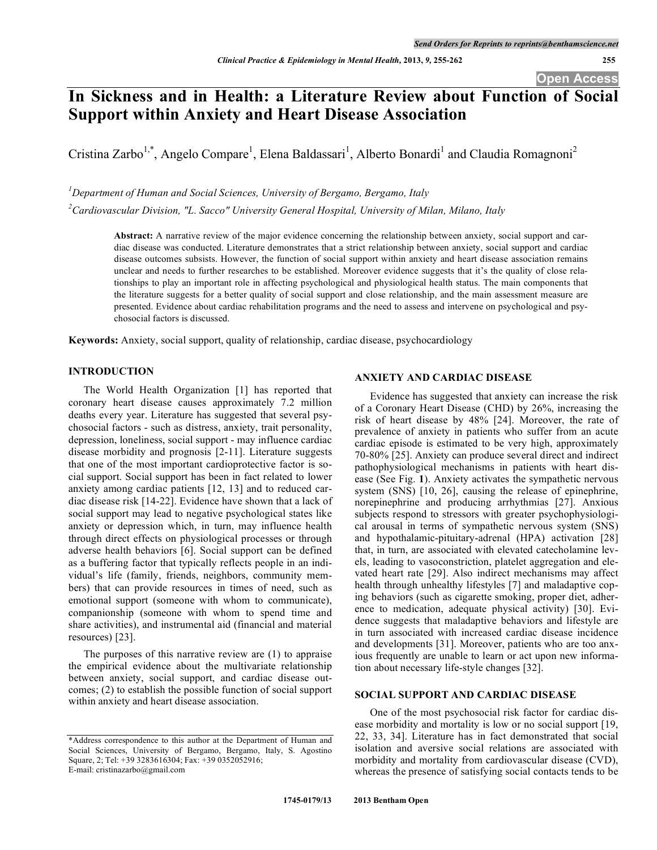# **In Sickness and in Health: a Literature Review about Function of Social Support within Anxiety and Heart Disease Association**

Cristina Zarbo<sup>1,\*</sup>, Angelo Compare<sup>1</sup>, Elena Baldassari<sup>1</sup>, Alberto Bonardi<sup>1</sup> and Claudia Romagnoni<sup>2</sup>

*1 Department of Human and Social Sciences, University of Bergamo, Bergamo, Italy*

*2 Cardiovascular Division, "L. Sacco" University General Hospital, University of Milan, Milano, Italy*

**Abstract:** A narrative review of the major evidence concerning the relationship between anxiety, social support and cardiac disease was conducted. Literature demonstrates that a strict relationship between anxiety, social support and cardiac disease outcomes subsists. However, the function of social support within anxiety and heart disease association remains unclear and needs to further researches to be established. Moreover evidence suggests that it's the quality of close relationships to play an important role in affecting psychological and physiological health status. The main components that the literature suggests for a better quality of social support and close relationship, and the main assessment measure are presented. Evidence about cardiac rehabilitation programs and the need to assess and intervene on psychological and psychosocial factors is discussed.

**Keywords:** Anxiety, social support, quality of relationship, cardiac disease, psychocardiology

# **INTRODUCTION**

The World Health Organization [1] has reported that coronary heart disease causes approximately 7.2 million deaths every year. Literature has suggested that several psychosocial factors - such as distress, anxiety, trait personality, depression, loneliness, social support - may influence cardiac disease morbidity and prognosis [2-11]. Literature suggests that one of the most important cardioprotective factor is social support. Social support has been in fact related to lower anxiety among cardiac patients [12, 13] and to reduced cardiac disease risk [14-22]. Evidence have shown that a lack of social support may lead to negative psychological states like anxiety or depression which, in turn, may influence health through direct effects on physiological processes or through adverse health behaviors [6]. Social support can be defined as a buffering factor that typically reflects people in an individual's life (family, friends, neighbors, community members) that can provide resources in times of need, such as emotional support (someone with whom to communicate), companionship (someone with whom to spend time and share activities), and instrumental aid (financial and material resources) [23].

The purposes of this narrative review are (1) to appraise the empirical evidence about the multivariate relationship between anxiety, social support, and cardiac disease outcomes; (2) to establish the possible function of social support within anxiety and heart disease association.

# **ANXIETY AND CARDIAC DISEASE**

Evidence has suggested that anxiety can increase the risk of a Coronary Heart Disease (CHD) by 26%, increasing the risk of heart disease by 48% [24]. Moreover, the rate of prevalence of anxiety in patients who suffer from an acute cardiac episode is estimated to be very high, approximately 70-80% [25]. Anxiety can produce several direct and indirect pathophysiological mechanisms in patients with heart disease (See Fig. **1**). Anxiety activates the sympathetic nervous system (SNS) [10, 26], causing the release of epinephrine, norepinephrine and producing arrhythmias [27]. Anxious subjects respond to stressors with greater psychophysiological arousal in terms of sympathetic nervous system (SNS) and hypothalamic-pituitary-adrenal (HPA) activation [28] that, in turn, are associated with elevated catecholamine levels, leading to vasoconstriction, platelet aggregation and elevated heart rate [29]. Also indirect mechanisms may affect health through unhealthy lifestyles [7] and maladaptive coping behaviors (such as cigarette smoking, proper diet, adherence to medication, adequate physical activity) [30]. Evidence suggests that maladaptive behaviors and lifestyle are in turn associated with increased cardiac disease incidence and developments [31]. Moreover, patients who are too anxious frequently are unable to learn or act upon new information about necessary life-style changes [32].

#### **SOCIAL SUPPORT AND CARDIAC DISEASE**

One of the most psychosocial risk factor for cardiac disease morbidity and mortality is low or no social support [19, 22, 33, 34]. Literature has in fact demonstrated that social isolation and aversive social relations are associated with morbidity and mortality from cardiovascular disease (CVD), whereas the presence of satisfying social contacts tends to be

<sup>\*</sup>Address correspondence to this author at the Department of Human and Social Sciences, University of Bergamo, Bergamo, Italy, S. Agostino Square, 2; Tel: +39 3283616304; Fax: +39 0352052916; E-mail: cristinazarbo@gmail.com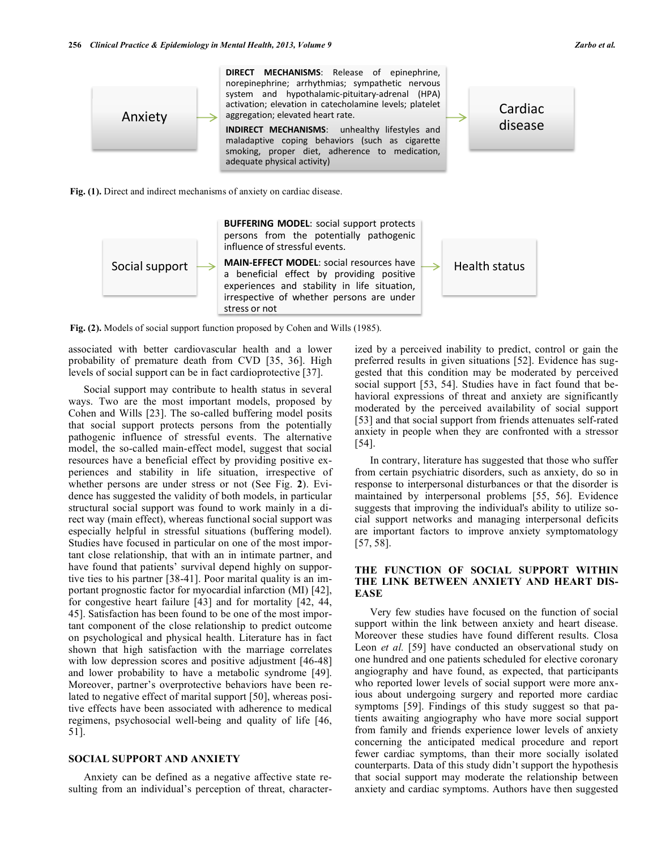

**Fig. (1).** Direct and indirect mechanisms of anxiety on cardiac disease.



**Fig. (2).** Models of social support function proposed by Cohen and Wills (1985).

associated with better cardiovascular health and a lower probability of premature death from CVD [35, 36]. High levels of social support can be in fact cardioprotective [37].

Social support may contribute to health status in several ways. Two are the most important models, proposed by Cohen and Wills [23]. The so-called buffering model posits that social support protects persons from the potentially pathogenic influence of stressful events. The alternative model, the so-called main-effect model, suggest that social resources have a beneficial effect by providing positive experiences and stability in life situation, irrespective of whether persons are under stress or not (See Fig. **2**). Evidence has suggested the validity of both models, in particular structural social support was found to work mainly in a direct way (main effect), whereas functional social support was especially helpful in stressful situations (buffering model). Studies have focused in particular on one of the most important close relationship, that with an in intimate partner, and have found that patients' survival depend highly on supportive ties to his partner [38-41]. Poor marital quality is an important prognostic factor for myocardial infarction (MI) [42], for congestive heart failure [43] and for mortality [42, 44, 45]. Satisfaction has been found to be one of the most important component of the close relationship to predict outcome on psychological and physical health. Literature has in fact shown that high satisfaction with the marriage correlates with low depression scores and positive adjustment [46-48] and lower probability to have a metabolic syndrome [49]. Moreover, partner's overprotective behaviors have been related to negative effect of marital support [50], whereas positive effects have been associated with adherence to medical regimens, psychosocial well-being and quality of life [46, 51].

#### **SOCIAL SUPPORT AND ANXIETY**

Anxiety can be defined as a negative affective state resulting from an individual's perception of threat, characterized by a perceived inability to predict, control or gain the preferred results in given situations [52]. Evidence has suggested that this condition may be moderated by perceived social support [53, 54]. Studies have in fact found that behavioral expressions of threat and anxiety are significantly moderated by the perceived availability of social support [53] and that social support from friends attenuates self-rated anxiety in people when they are confronted with a stressor [54].

In contrary, literature has suggested that those who suffer from certain psychiatric disorders, such as anxiety, do so in response to interpersonal disturbances or that the disorder is maintained by interpersonal problems [55, 56]. Evidence suggests that improving the individual's ability to utilize social support networks and managing interpersonal deficits are important factors to improve anxiety symptomatology [57, 58].

# **THE FUNCTION OF SOCIAL SUPPORT WITHIN THE LINK BETWEEN ANXIETY AND HEART DIS-EASE**

Very few studies have focused on the function of social support within the link between anxiety and heart disease. Moreover these studies have found different results. Closa Leon *et al.* [59] have conducted an observational study on one hundred and one patients scheduled for elective coronary angiography and have found, as expected, that participants who reported lower levels of social support were more anxious about undergoing surgery and reported more cardiac symptoms [59]. Findings of this study suggest so that patients awaiting angiography who have more social support from family and friends experience lower levels of anxiety concerning the anticipated medical procedure and report fewer cardiac symptoms, than their more socially isolated counterparts. Data of this study didn't support the hypothesis that social support may moderate the relationship between anxiety and cardiac symptoms. Authors have then suggested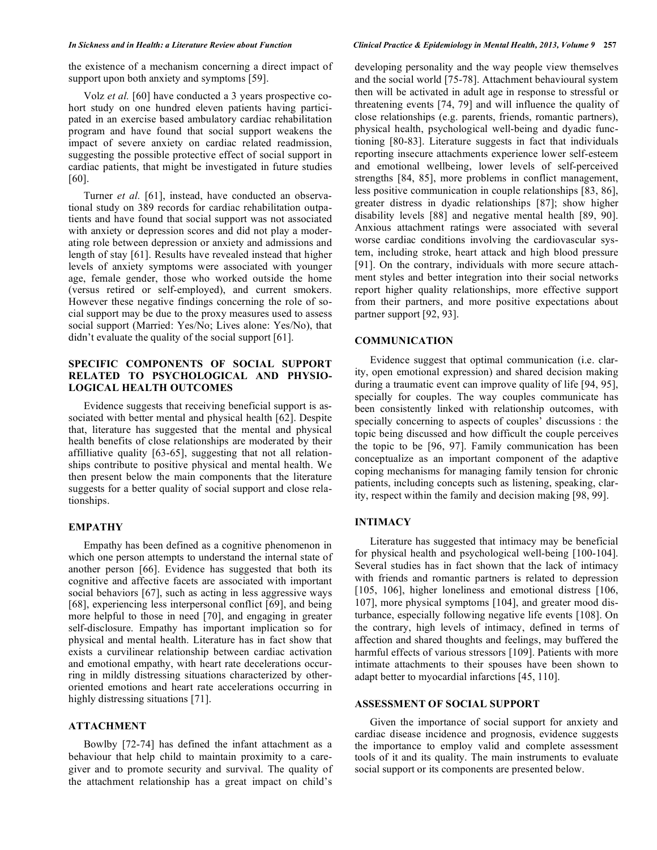Volz *et al.* [60] have conducted a 3 years prospective cohort study on one hundred eleven patients having participated in an exercise based ambulatory cardiac rehabilitation program and have found that social support weakens the impact of severe anxiety on cardiac related readmission, suggesting the possible protective effect of social support in cardiac patients, that might be investigated in future studies [60].

Turner *et al.* [61], instead, have conducted an observational study on 389 records for cardiac rehabilitation outpatients and have found that social support was not associated with anxiety or depression scores and did not play a moderating role between depression or anxiety and admissions and length of stay [61]. Results have revealed instead that higher levels of anxiety symptoms were associated with younger age, female gender, those who worked outside the home (versus retired or self-employed), and current smokers. However these negative findings concerning the role of social support may be due to the proxy measures used to assess social support (Married: Yes/No; Lives alone: Yes/No), that didn't evaluate the quality of the social support [61].

# **SPECIFIC COMPONENTS OF SOCIAL SUPPORT RELATED TO PSYCHOLOGICAL AND PHYSIO-LOGICAL HEALTH OUTCOMES**

Evidence suggests that receiving beneficial support is associated with better mental and physical health [62]. Despite that, literature has suggested that the mental and physical health benefits of close relationships are moderated by their affilliative quality [63-65], suggesting that not all relationships contribute to positive physical and mental health. We then present below the main components that the literature suggests for a better quality of social support and close relationships.

### **EMPATHY**

Empathy has been defined as a cognitive phenomenon in which one person attempts to understand the internal state of another person [66]. Evidence has suggested that both its cognitive and affective facets are associated with important social behaviors [67], such as acting in less aggressive ways [68], experiencing less interpersonal conflict [69], and being more helpful to those in need [70], and engaging in greater self-disclosure. Empathy has important implication so for physical and mental health. Literature has in fact show that exists a curvilinear relationship between cardiac activation and emotional empathy, with heart rate decelerations occurring in mildly distressing situations characterized by otheroriented emotions and heart rate accelerations occurring in highly distressing situations [71].

# **ATTACHMENT**

Bowlby [72-74] has defined the infant attachment as a behaviour that help child to maintain proximity to a caregiver and to promote security and survival. The quality of the attachment relationship has a great impact on child's

developing personality and the way people view themselves and the social world [75-78]. Attachment behavioural system then will be activated in adult age in response to stressful or threatening events [74, 79] and will influence the quality of close relationships (e.g. parents, friends, romantic partners), physical health, psychological well-being and dyadic functioning [80-83]. Literature suggests in fact that individuals reporting insecure attachments experience lower self-esteem and emotional wellbeing, lower levels of self-perceived strengths [84, 85], more problems in conflict management, less positive communication in couple relationships [83, 86], greater distress in dyadic relationships [87]; show higher disability levels [88] and negative mental health [89, 90]. Anxious attachment ratings were associated with several worse cardiac conditions involving the cardiovascular system, including stroke, heart attack and high blood pressure [91]. On the contrary, individuals with more secure attachment styles and better integration into their social networks report higher quality relationships, more effective support from their partners, and more positive expectations about partner support [92, 93].

### **COMMUNICATION**

Evidence suggest that optimal communication (i.e. clarity, open emotional expression) and shared decision making during a traumatic event can improve quality of life [94, 95], specially for couples. The way couples communicate has been consistently linked with relationship outcomes, with specially concerning to aspects of couples' discussions : the topic being discussed and how difficult the couple perceives the topic to be [96, 97]. Family communication has been conceptualize as an important component of the adaptive coping mechanisms for managing family tension for chronic patients, including concepts such as listening, speaking, clarity, respect within the family and decision making [98, 99].

# **INTIMACY**

Literature has suggested that intimacy may be beneficial for physical health and psychological well-being [100-104]. Several studies has in fact shown that the lack of intimacy with friends and romantic partners is related to depression [105, 106], higher loneliness and emotional distress [106, 107], more physical symptoms [104], and greater mood disturbance, especially following negative life events [108]. On the contrary, high levels of intimacy, defined in terms of affection and shared thoughts and feelings, may buffered the harmful effects of various stressors [109]. Patients with more intimate attachments to their spouses have been shown to adapt better to myocardial infarctions [45, 110].

# **ASSESSMENT OF SOCIAL SUPPORT**

Given the importance of social support for anxiety and cardiac disease incidence and prognosis, evidence suggests the importance to employ valid and complete assessment tools of it and its quality. The main instruments to evaluate social support or its components are presented below.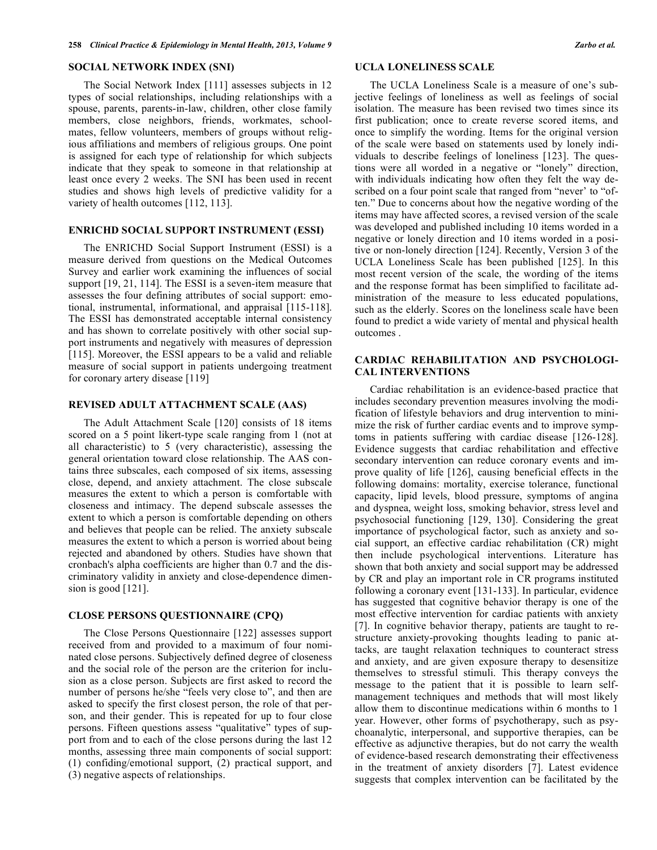### **SOCIAL NETWORK INDEX (SNI)**

The Social Network Index [111] assesses subjects in 12 types of social relationships, including relationships with a spouse, parents, parents-in-law, children, other close family members, close neighbors, friends, workmates, schoolmates, fellow volunteers, members of groups without religious affiliations and members of religious groups. One point is assigned for each type of relationship for which subjects indicate that they speak to someone in that relationship at least once every 2 weeks. The SNI has been used in recent studies and shows high levels of predictive validity for a variety of health outcomes [112, 113].

#### **ENRICHD SOCIAL SUPPORT INSTRUMENT (ESSI)**

The ENRICHD Social Support Instrument (ESSI) is a measure derived from questions on the Medical Outcomes Survey and earlier work examining the influences of social support [19, 21, 114]. The ESSI is a seven-item measure that assesses the four defining attributes of social support: emotional, instrumental, informational, and appraisal [115-118]. The ESSI has demonstrated acceptable internal consistency and has shown to correlate positively with other social support instruments and negatively with measures of depression [115]. Moreover, the ESSI appears to be a valid and reliable measure of social support in patients undergoing treatment for coronary artery disease [119]

# **REVISED ADULT ATTACHMENT SCALE (AAS)**

The Adult Attachment Scale [120] consists of 18 items scored on a 5 point likert-type scale ranging from 1 (not at all characteristic) to 5 (very characteristic), assessing the general orientation toward close relationship. The AAS contains three subscales, each composed of six items, assessing close, depend, and anxiety attachment. The close subscale measures the extent to which a person is comfortable with closeness and intimacy. The depend subscale assesses the extent to which a person is comfortable depending on others and believes that people can be relied. The anxiety subscale measures the extent to which a person is worried about being rejected and abandoned by others. Studies have shown that cronbach's alpha coefficients are higher than 0.7 and the discriminatory validity in anxiety and close-dependence dimension is good [121].

#### **CLOSE PERSONS QUESTIONNAIRE (CPQ)**

The Close Persons Questionnaire [122] assesses support received from and provided to a maximum of four nominated close persons. Subjectively defined degree of closeness and the social role of the person are the criterion for inclusion as a close person. Subjects are first asked to record the number of persons he/she "feels very close to", and then are asked to specify the first closest person, the role of that person, and their gender. This is repeated for up to four close persons. Fifteen questions assess "qualitative" types of support from and to each of the close persons during the last 12 months, assessing three main components of social support: (1) confiding/emotional support, (2) practical support, and (3) negative aspects of relationships.

#### **UCLA LONELINESS SCALE**

The UCLA Loneliness Scale is a measure of one's subjective feelings of loneliness as well as feelings of social isolation. The measure has been revised two times since its first publication; once to create reverse scored items, and once to simplify the wording. Items for the original version of the scale were based on statements used by lonely individuals to describe feelings of loneliness [123]. The questions were all worded in a negative or "lonely" direction, with individuals indicating how often they felt the way described on a four point scale that ranged from "never' to "often." Due to concerns about how the negative wording of the items may have affected scores, a revised version of the scale was developed and published including 10 items worded in a negative or lonely direction and 10 items worded in a positive or non-lonely direction [124]. Recently, Version 3 of the UCLA Loneliness Scale has been published [125]. In this most recent version of the scale, the wording of the items and the response format has been simplified to facilitate administration of the measure to less educated populations, such as the elderly. Scores on the loneliness scale have been found to predict a wide variety of mental and physical health outcomes .

# **CARDIAC REHABILITATION AND PSYCHOLOGI-CAL INTERVENTIONS**

Cardiac rehabilitation is an evidence-based practice that includes secondary prevention measures involving the modification of lifestyle behaviors and drug intervention to minimize the risk of further cardiac events and to improve symptoms in patients suffering with cardiac disease [126-128]. Evidence suggests that cardiac rehabilitation and effective secondary intervention can reduce coronary events and improve quality of life [126], causing beneficial effects in the following domains: mortality, exercise tolerance, functional capacity, lipid levels, blood pressure, symptoms of angina and dyspnea, weight loss, smoking behavior, stress level and psychosocial functioning [129, 130]. Considering the great importance of psychological factor, such as anxiety and social support, an effective cardiac rehabilitation (CR) might then include psychological interventions. Literature has shown that both anxiety and social support may be addressed by CR and play an important role in CR programs instituted following a coronary event [131-133]. In particular, evidence has suggested that cognitive behavior therapy is one of the most effective intervention for cardiac patients with anxiety [7]. In cognitive behavior therapy, patients are taught to restructure anxiety-provoking thoughts leading to panic attacks, are taught relaxation techniques to counteract stress and anxiety, and are given exposure therapy to desensitize themselves to stressful stimuli. This therapy conveys the message to the patient that it is possible to learn selfmanagement techniques and methods that will most likely allow them to discontinue medications within 6 months to 1 year. However, other forms of psychotherapy, such as psychoanalytic, interpersonal, and supportive therapies, can be effective as adjunctive therapies, but do not carry the wealth of evidence-based research demonstrating their effectiveness in the treatment of anxiety disorders [7]. Latest evidence suggests that complex intervention can be facilitated by the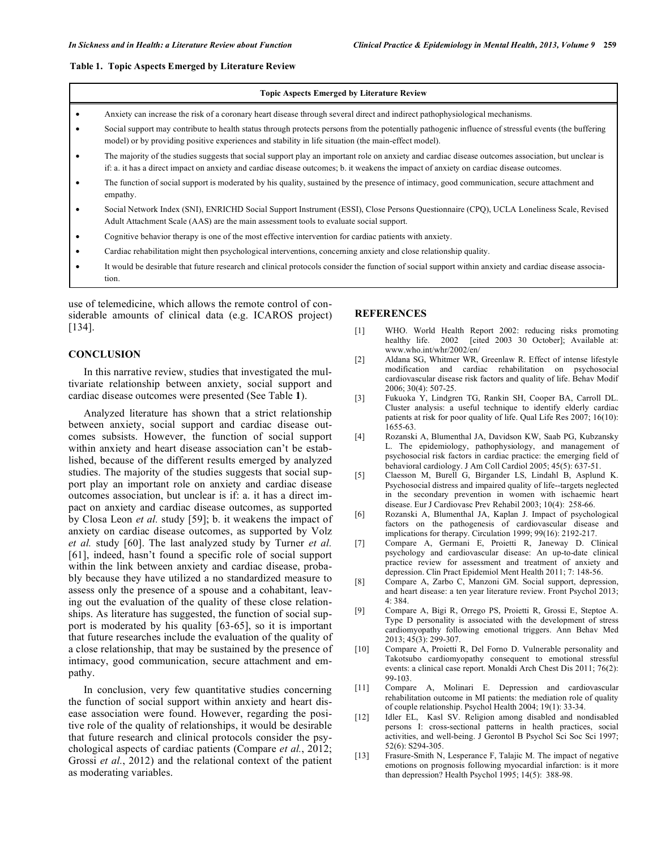#### **Table 1. Topic Aspects Emerged by Literature Review**

#### **Topic Aspects Emerged by Literature Review**

- Anxiety can increase the risk of a coronary heart disease through several direct and indirect pathophysiological mechanisms.
- Social support may contribute to health status through protects persons from the potentially pathogenic influence of stressful events (the buffering model) or by providing positive experiences and stability in life situation (the main-effect model).
- The majority of the studies suggests that social support play an important role on anxiety and cardiac disease outcomes association, but unclear is if: a. it has a direct impact on anxiety and cardiac disease outcomes; b. it weakens the impact of anxiety on cardiac disease outcomes.
- The function of social support is moderated by his quality, sustained by the presence of intimacy, good communication, secure attachment and empathy.
- Social Network Index (SNI), ENRICHD Social Support Instrument (ESSI), Close Persons Questionnaire (CPQ), UCLA Loneliness Scale, Revised Adult Attachment Scale (AAS) are the main assessment tools to evaluate social support.
- Cognitive behavior therapy is one of the most effective intervention for cardiac patients with anxiety.
- Cardiac rehabilitation might then psychological interventions, concerning anxiety and close relationship quality.
- It would be desirable that future research and clinical protocols consider the function of social support within anxiety and cardiac disease association.

use of telemedicine, which allows the remote control of considerable amounts of clinical data (e.g. ICAROS project) [134].

#### **CONCLUSION**

In this narrative review, studies that investigated the multivariate relationship between anxiety, social support and cardiac disease outcomes were presented (See Table **1**).

Analyzed literature has shown that a strict relationship between anxiety, social support and cardiac disease outcomes subsists. However, the function of social support within anxiety and heart disease association can't be established, because of the different results emerged by analyzed studies. The majority of the studies suggests that social support play an important role on anxiety and cardiac disease outcomes association, but unclear is if: a. it has a direct impact on anxiety and cardiac disease outcomes, as supported by Closa Leon *et al.* study [59]; b. it weakens the impact of anxiety on cardiac disease outcomes, as supported by Volz *et al.* study [60]. The last analyzed study by Turner *et al.* [61], indeed, hasn't found a specific role of social support within the link between anxiety and cardiac disease, probably because they have utilized a no standardized measure to assess only the presence of a spouse and a cohabitant, leaving out the evaluation of the quality of these close relationships. As literature has suggested, the function of social support is moderated by his quality [63-65], so it is important that future researches include the evaluation of the quality of a close relationship, that may be sustained by the presence of intimacy, good communication, secure attachment and empathy.

In conclusion, very few quantitative studies concerning the function of social support within anxiety and heart disease association were found. However, regarding the positive role of the quality of relationships, it would be desirable that future research and clinical protocols consider the psychological aspects of cardiac patients (Compare *et al.*, 2012; Grossi *et al.*, 2012) and the relational context of the patient as moderating variables.

#### **REFERENCES**

- [1] WHO. World Health Report 2002: reducing risks promoting healthy life. 2002 [cited 2003 30 October]; Available at: www.who.int/whr/2002/en/
- [2] Aldana SG, Whitmer WR, Greenlaw R. Effect of intense lifestyle modification and cardiac rehabilitation on psychosocial cardiovascular disease risk factors and quality of life. Behav Modif 2006; 30(4): 507-25.
- [3] Fukuoka Y, Lindgren TG, Rankin SH, Cooper BA, Carroll DL. Cluster analysis: a useful technique to identify elderly cardiac patients at risk for poor quality of life. Qual Life Res 2007; 16(10): 1655-63.
- [4] Rozanski A, Blumenthal JA, Davidson KW, Saab PG, Kubzansky L. The epidemiology, pathophysiology, and management of psychosocial risk factors in cardiac practice: the emerging field of behavioral cardiology. J Am Coll Cardiol 2005; 45(5): 637-51.
- [5] Claesson M, Burell G, Birgander LS, Lindahl B, Asplund K. Psychosocial distress and impaired quality of life--targets neglected in the secondary prevention in women with ischaemic heart disease. Eur J Cardiovasc Prev Rehabil 2003; 10(4): 258-66.
- [6] Rozanski A, Blumenthal JA, Kaplan J. Impact of psychological factors on the pathogenesis of cardiovascular disease and implications for therapy. Circulation 1999; 99(16): 2192-217.
- [7] Compare A, Germani E, Proietti R, Janeway D. Clinical psychology and cardiovascular disease: An up-to-date clinical practice review for assessment and treatment of anxiety and depression. Clin Pract Epidemiol Ment Health 2011; 7: 148-56.
- [8] Compare A, Zarbo C, Manzoni GM. Social support, depression, and heart disease: a ten year literature review. Front Psychol 2013; 4: 384.
- [9] Compare A, Bigi R, Orrego PS, Proietti R, Grossi E, Steptoe A. Type D personality is associated with the development of stress cardiomyopathy following emotional triggers. Ann Behav Med 2013; 45(3): 299-307.
- [10] Compare A, Proietti R, Del Forno D. Vulnerable personality and Takotsubo cardiomyopathy consequent to emotional stressful events: a clinical case report. Monaldi Arch Chest Dis 2011; 76(2): 99-103.
- [11] Compare A, Molinari E. Depression and cardiovascular rehabilitation outcome in MI patients: the mediation role of quality of couple relationship. Psychol Health 2004; 19(1): 33-34.
- [12] Idler EL, Kasl SV. Religion among disabled and nondisabled persons I: cross-sectional patterns in health practices, social activities, and well-being. J Gerontol B Psychol Sci Soc Sci 1997; 52(6): S294-305.
- [13] Frasure-Smith N, Lesperance F, Talajic M. The impact of negative emotions on prognosis following myocardial infarction: is it more than depression? Health Psychol 1995; 14(5): 388-98.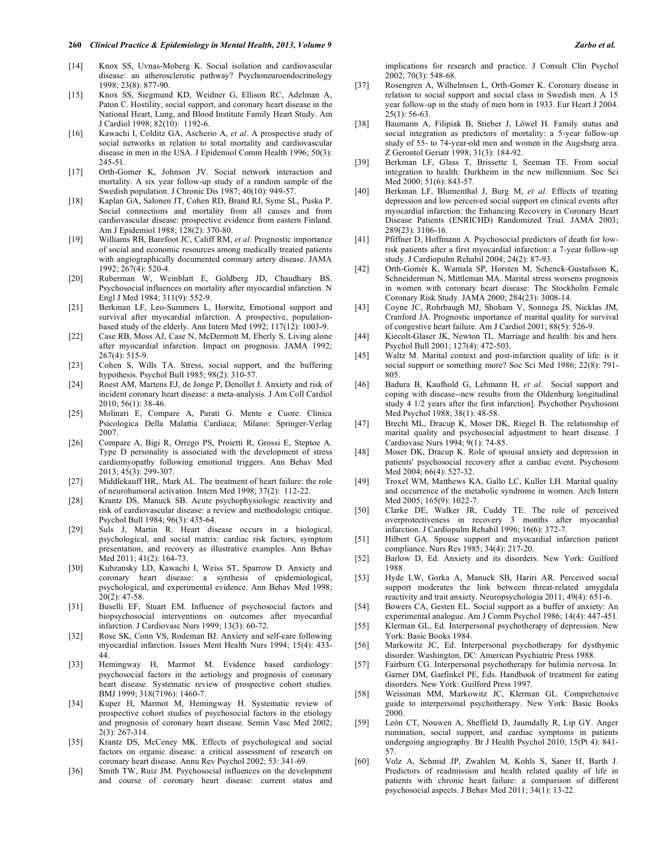- [14] Knox SS, Uvnas-Moberg K. Social isolation and cardiovascular disease: an atherosclerotic pathway? Psychoneuroendocrinology 1998; 23(8): 877-90.
- [15] Knox SS, Siegmund KD, Weidner G, Ellison RC, Adelman A, Paton C. Hostility, social support, and coronary heart disease in the National Heart, Lung, and Blood Institute Family Heart Study. Am J Cardiol 1998; 82(10): 1192-6.
- [16] Kawachi I, Colditz GA, Ascherio A, *et al*. A prospective study of social networks in relation to total mortality and cardiovascular disease in men in the USA. J Epidemiol Comm Health 1996; 50(3): 245-51.
- [17] Orth-Gomer K, Johnson JV. Social network interaction and mortality. A six year follow-up study of a random sample of the Swedish population. J Chronic Dis 1987; 40(10): 949-57.
- [18] Kaplan GA, Salonen JT, Cohen RD, Brand RJ, Syme SL, Puska P. Social connections and mortality from all causes and from cardiovascular disease: prospective evidence from eastern Finland. Am J Epidemiol 1988; 128(2): 370-80.
- [19] Williams RB, Barefoot JC, Califf RM, *et al*. Prognostic importance of social and economic resources among medically treated patients with angiographically documented coronary artery disease. JAMA 1992; 267(4): 520-4.
- [20] Ruberman W, Weinblatt E, Goldberg JD, Chaudhary BS. Psychosocial influences on mortality after myocardial infarction. N Engl J Med 1984; 311(9): 552-9.
- [21] Berkman LF, Leo-Summers L, Horwitz, Emotional support and survival after myocardial infarction. A prospective, populationbased study of the elderly. Ann Intern Med 1992; 117(12): 1003-9.
- [22] Case RB, Moss AJ, Case N, McDermott M, Eberly S. Living alone after myocardial infarction. Impact on prognosis. JAMA 1992; 267(4): 515-9.
- [23] Cohen S, Wills TA. Stress, social support, and the buffering hypothesis. Psychol Bull 1985; 98(2): 310-57.
- [24] Roest AM, Martens EJ, de Jonge P, Denollet J. Anxiety and risk of incident coronary heart disease: a meta-analysis. J Am Coll Cardiol 2010; 56(1): 38-46.
- [25] Molinari E, Compare A, Parati G. Mente e Cuore: Clinica Psicologica Della Malattia Cardiaca; Milano: Springer-Verlag 2007.
- [26] Compare A, Bigi R, Orrego PS, Proietti R, Grossi E, Steptoe A. Type D personality is associated with the development of stress cardiomyopathy following emotional triggers. Ann Behav Med 2013; 45(3): 299-307.
- [27] Middlekauff HR,. Mark AL. The treatment of heart failure: the role of neurohumoral activation. Intern Med 1998; 37(2): 112-22.
- [28] Krantz DS, Manuck SB. Acute psychophysiologic reactivity and risk of cardiovascular disease: a review and methodologic critique. Psychol Bull 1984; 96(3): 435-64.
- [29] Suls J, Martin R. Heart disease occurs in a biological, psychological, and social matrix: cardiac risk factors, symptom presentation, and recovery as illustrative examples. Ann Behav Med 2011; 41(2): 164-73.
- [30] Kubzansky LD, Kawachi I, Weiss ST, Sparrow D. Anxiety and coronary heart disease: a synthesis of epidemiological, psychological, and experimental evidence. Ann Behav Med 1998; 20(2): 47-58.
- [31] Buselli EF, Stuart EM. Influence of psychosocial factors and biopsychosocial interventions on outcomes after myocardial infarction. J Cardiovasc Nurs 1999; 13(3): 60-72.
- [32] Rose SK, Conn VS, Rodeman BJ. Anxiety and self-care following myocardial infarction. Issues Ment Health Nurs 1994; 15(4): 433- 44.
- [33] Hemingway H, Marmot M. Evidence based cardiology: psychosocial factors in the aetiology and prognosis of coronary heart disease. Systematic review of prospective cohort studies. BMJ 1999; 318(7196): 1460-7.
- [34] Kuper H, Marmot M, Hemingway H. Systematic review of prospective cohort studies of psychosocial factors in the etiology and prognosis of coronary heart disease. Semin Vasc Med 2002; 2(3): 267-314.
- [35] Krantz DS, McCeney MK. Effects of psychological and social factors on organic disease: a critical assessment of research on coronary heart disease. Annu Rev Psychol 2002; 53: 341-69.
- [36] Smith TW, Ruiz JM. Psychosocial influences on the development and course of coronary heart disease: current status and

implications for research and practice. J Consult Clin Psychol 2002; 70(3): 548-68.

- [37] Rosengren A, Wilhelmsen L, Orth-Gomer K. Coronary disease in relation to social support and social class in Swedish men. A 15 year follow-up in the study of men born in 1933. Eur Heart J 2004.  $25(1)$ : 56-63.
- [38] Baumann A, Filipiak B, Stieber J, Löwel H. Family status and social integration as predictors of mortality: a 5-year follow-up study of 55- to 74-year-old men and women in the Augsburg area. Z Gerontol Geriatr 1998; 31(3): 184-92.
- [39] Berkman LF, Glass T, Brissette I, Seeman TE. From social integration to health: Durkheim in the new millennium. Soc Sci Med 2000; 51(6): 843-57.
- [40] Berkman LF, Blumenthal J, Burg M, *et al*. Effects of treating depression and low perceived social support on clinical events after myocardial infarction: the Enhancing Recovery in Coronary Heart Disease Patients (ENRICHD) Randomized Trial. JAMA 2003; 289(23): 3106-16.
- [41] Pfiffner D, Hoffmann A. Psychosocial predictors of death for lowrisk patients after a first myocardial infarction: a 7-year follow-up study. J Cardiopulm Rehabil 2004; 24(2): 87-93.
- [42] Orth-Gomér K, Wamala SP, Horsten M, Schenck-Gustafsson K, Schneiderman N, Mittleman MA. Marital stress worsens prognosis in women with coronary heart disease: The Stockholm Female Coronary Risk Study. JAMA 2000; 284(23): 3008-14.
- [43] Coyne JC, Rohrbaugh MJ, Shoham V, Sonnega JS, Nicklas JM, Cranford JA. Prognostic importance of marital quality for survival of congestive heart failure. Am J Cardiol 2001; 88(5): 526-9.
- [44] Kiecolt-Glaser JK, Newton TL. Marriage and health: his and hers. Psychol Bull 2001; 127(4): 472-503.
- [45] Waltz M. Marital context and post-infarction quality of life: is it social support or something more? Soc Sci Med 1986; 22(8): 791- 805.
- [46] Badura B, Kaufhold G, Lehmann H, *et al*. Social support and coping with disease--new results from the Oldenburg longitudinal study 4 1/2 years after the first infarction]. Psychother Psychosom Med Psychol 1988; 38(1): 48-58.
- [47] Brecht ML, Dracup K, Moser DK, Riegel B. The relationship of marital quality and psychosocial adjustment to heart disease. J Cardiovasc Nurs 1994; 9(1): 74-85.
- [48] Moser DK, Dracup K. Role of spousal anxiety and depression in patients' psychosocial recovery after a cardiac event. Psychosom Med 2004; 66(4): 527-32.
- [49] Troxel WM, Matthews KA, Gallo LC, Kuller LH. Marital quality and occurrence of the metabolic syndrome in women. Arch Intern Med 2005; 165(9): 1022-7.
- [50] Clarke DE, Walker JR, Cuddy TE. The role of perceived overprotectiveness in recovery 3 months after myocardial infarction. J Cardiopulm Rehabil 1996; 16(6): 372-7.
- [51] Hilbert GA. Spouse support and myocardial infarction patient compliance. Nurs Res 1985; 34(4): 217-20.
- [52] Barlow D, Ed. Anxiety and its disorders. New York: Guilford 1988.
- [53] Hyde LW, Gorka A, Manuck SB, Hariri AR. Perceived social support moderates the link between threat-related amygdala reactivity and trait anxiety. Neuropsychologia 2011; 49(4): 651-6.
- [54] Bowers CA, Gesten EL. Social support as a buffer of anxiety: An experimental analogue. Am J Comm Psychol 1986; 14(4): 447-451.
- [55] Klerman GL, Ed. Interpersonal psychotherapy of depression. New York: Basic Books 1984.
- [56] Markowitz JC, Ed. Interpersonal psychotherapy for dysthymic disorder. Washington, DC: American Psychiatric Press 1988.
- [57] Fairburn CG. Interpersonal psychotherapy for bulimia nervosa. In: Garner DM, Garfinkel PE, Eds. Handbook of treatment for eating disorders. New York: Guilford Press 1997.
- [58] Weissman MM, Markowitz JC, Klerman GL. Comprehensive guide to interpersonal psychotherapy. New York: Basic Books 2000.
- [59] León CT, Nouwen A, Sheffield D, Jaumdally R, Lip GY. Anger rumination, social support, and cardiac symptoms in patients undergoing angiography. Br J Health Psychol 2010; 15(Pt 4): 841- 57.
- [60] Volz A, Schmid JP, Zwahlen M, Kohls S, Saner H, Barth J. Predictors of readmission and health related quality of life in patients with chronic heart failure: a comparison of different psychosocial aspects. J Behav Med 2011; 34(1): 13-22.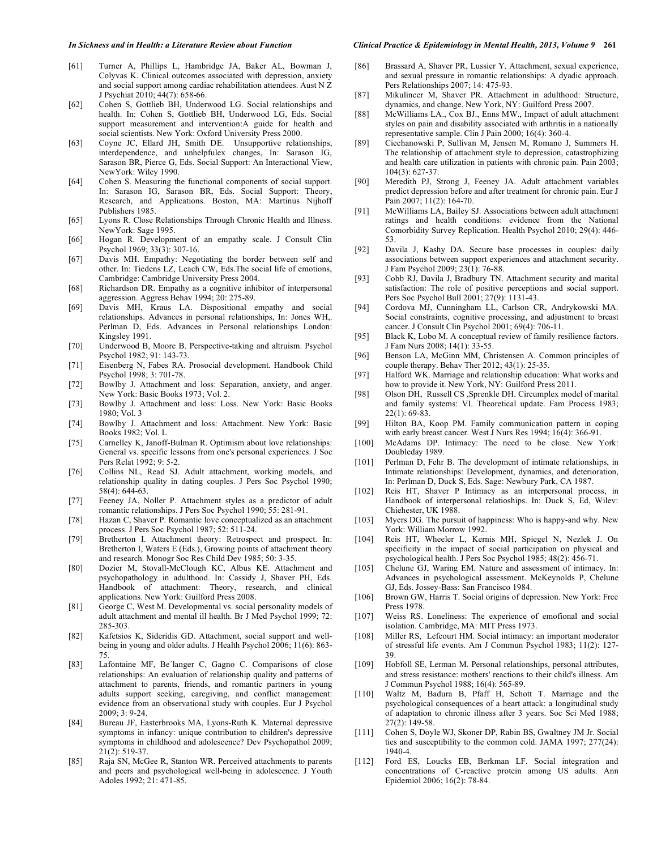- In Sickness and in Health: a Literature Review about Function Clinical Practice & Epidemiology in Mental Health, 2013, Volume 9 261
- [61] Turner A, Phillips L, Hambridge JA, Baker AL, Bowman J, Colyvas K. Clinical outcomes associated with depression, anxiety and social support among cardiac rehabilitation attendees. Aust N Z J Psychiat 2010; 44(7): 658-66.
- [62] Cohen S, Gottlieb BH, Underwood LG. Social relationships and health. In: Cohen S, Gottlieb BH, Underwood LG, Eds. Social support measurement and intervention:A guide for health and social scientists. New York: Oxford University Press 2000.
- [63] Coyne JC, Ellard JH, Smith DE. Unsupportive relationships, interdependence, and unhelpfulex changes, In: Sarason IG, Sarason BR, Pierce G, Eds. Social Support: An Interactional View, NewYork: Wiley 1990.
- [64] Cohen S. Measuring the functional components of social support. In: Sarason IG, Sarason BR, Eds. Social Support: Theory, Research, and Applications. Boston, MA: Martinus Nijhoff Publishers 1985.
- [65] Lyons R. Close Relationships Through Chronic Health and Illness. NewYork: Sage 1995.
- [66] Hogan R. Development of an empathy scale. J Consult Clin Psychol 1969; 33(3): 307-16.
- [67] Davis MH. Empathy: Negotiating the border between self and other. In: Tiedens LZ, Leach CW, Eds.The social life of emotions, Cambridge: Cambridge University Press 2004.
- [68] Richardson DR. Empathy as a cognitive inhibitor of interpersonal aggression. Aggress Behav 1994; 20: 275-89.
- [69] Davis MH, Kraus LA. Dispositional empathy and social relationships. Advances in personal relationships, In: Jones WH,. Perlman D, Eds. Advances in Personal relationships London: Kingsley 1991.
- [70] Underwood B, Moore B. Perspective-taking and altruism. Psychol Psychol 1982; 91: 143-73.
- [71] Eisenberg N, Fabes RA. Prosocial development. Handbook Child Psychol 1998; 3: 701-78.
- [72] Bowlby J. Attachment and loss: Separation, anxiety, and anger. New York: Basic Books 1973; Vol. 2.
- [73] Bowlby J. Attachment and loss: Loss. New York: Basic Books 1980; Vol. 3
- [74] Bowlby J. Attachment and loss: Attachment. New York: Basic Books 1982; Vol. L
- [75] Carnelley K, Janoff-Bulman R. Optimism about love relationships: General vs. specific lessons from one's personal experiences. J Soc Pers Relat 1992; 9: 5-2.
- [76] Collins NL, Read SJ. Adult attachment, working models, and relationship quality in dating couples. J Pers Soc Psychol 1990; 58(4): 644-63.
- [77] Feeney JA, Noller P. Attachment styles as a predictor of adult romantic relationships. J Pers Soc Psychol 1990; 55: 281-91.
- [78] Hazan C, Shaver P. Romantic love conceptualized as an attachment process. J Pers Soc Psychol 1987; 52: 511-24.
- [79] Bretherton I. Attachment theory: Retrospect and prospect. In: Bretherton I, Waters E (Eds.), Growing points of attachment theory and research. Monogr Soc Res Child Dev 1985; 50: 3-35.
- [80] Dozier M, Stovall-McClough KC, Albus KE. Attachment and psychopathology in adulthood. In: Cassidy J, Shaver PH, Eds. Handbook of attachment: Theory, research, and clinical applications. New York: Guilford Press 2008.
- [81] George C, West M. Developmental vs. social personality models of adult attachment and mental ill health. Br J Med Psychol 1999; 72: 285-303.
- [82] Kafetsios K, Sideridis GD. Attachment, social support and wellbeing in young and older adults. J Health Psychol 2006; 11(6): 863- 75.
- [83] Lafontaine MF, Be'langer C, Gagno C. Comparisons of close relationships: An evaluation of relationship quality and patterns of attachment to parents, friends, and romantic partners in young adults support seeking, caregiving, and conflict management: evidence from an observational study with couples. Eur J Psychol 2009; 3: 9-24.
- [84] Bureau JF, Easterbrooks MA, Lyons-Ruth K. Maternal depressive symptoms in infancy: unique contribution to children's depressive symptoms in childhood and adolescence? Dev Psychopathol 2009; 21(2): 519-37.
- [85] Raja SN, McGee R, Stanton WR. Perceived attachments to parents and peers and psychological well-being in adolescence. J Youth Adoles 1992; 21: 471-85.
- [86] Brassard A, Shaver PR, Lussier Y. Attachment, sexual experience, and sexual pressure in romantic relationships: A dyadic approach. Pers Relationships 2007; 14: 475-93.
- [87] Mikulincer M, Shaver PR. Attachment in adulthood: Structure, dynamics, and change. New York, NY: Guilford Press 2007.
- [88] McWilliams LA., Cox BJ., Enns MW., Impact of adult attachment styles on pain and disability associated with arthritis in a nationally representative sample. Clin J Pain 2000; 16(4): 360-4.
- [89] Ciechanowski P, Sullivan M, Jensen M, Romano J, Summers H. The relationship of attachment style to depression, catastrophizing and health care utilization in patients with chronic pain. Pain 2003; 104(3): 627-37.
- [90] Meredith PJ, Strong J, Feeney JA. Adult attachment variables predict depression before and after treatment for chronic pain. Eur J Pain 2007; 11(2): 164-70.
- [91] McWilliams LA, Bailey SJ. Associations between adult attachment ratings and health conditions: evidence from the National Comorbidity Survey Replication. Health Psychol 2010; 29(4): 446- 53.
- [92] Davila J, Kashy DA. Secure base processes in couples: daily associations between support experiences and attachment security. J Fam Psychol 2009; 23(1): 76-88.
- [93] Cobb RJ, Davila J, Bradbury TN. Attachment security and marital satisfaction: The role of positive perceptions and social support. Pers Soc Psychol Bull 2001; 27(9): 1131-43.
- [94] Cordova MJ, Cunningham LL, Carlson CR, Andrykowski MA. Social constraints, cognitive processing, and adjustment to breast cancer. J Consult Clin Psychol 2001; 69(4): 706-11.
- [95] Black K, Lobo M. A conceptual review of family resilience factors. J Fam Nurs 2008; 14(1): 33-55.
- [96] Benson LA, McGinn MM, Christensen A. Common principles of couple therapy. Behav Ther 2012; 43(1): 25-35.
- [97] Halford WK. Marriage and relationship education: What works and how to provide it. New York, NY: Guilford Press 2011.
- [98] Olson DH, Russell CS ,Sprenkle DH. Circumplex model of marital and family systems: VI. Theoretical update. Fam Process 1983;  $22(1): 69-83.$
- [99] Hilton BA, Koop PM. Family communication pattern in coping with early breast cancer. West J Nurs Res 1994; 16(4): 366-91.
- [100] McAdams DP. Intimacy: The need to be close. New York: Doubleday 1989.
- [101] Perlman D, Fehr B. The development of intimate relationships, in Intimate relationships: Development, dynamics, and deterioration, In: Perlman D, Duck S, Eds. Sage: Newbury Park, CA 1987.
- [102] Reis HT, Shaver P Intimacy as an interpersonal process, in Handbook of interpersonal relatioships. In: Duck S, Ed, Wilev: Chiehester, UK 1988.
- [103] Myers DG. The pursuit of happiness: Who is happy-and why. New York: William Morrow 1992.
- [104] Reis HT, Wheeler L, Kernis MH, Spiegel N, Nezlek J. On specificity in the impact of social participation on physical and psychological health. J Pers Soc Psychol 1985; 48(2): 456-71.
- [105] Chelune GJ, Waring EM. Nature and assessment of intimacy. In: Advances in psychological assessment. McKeynolds P, Chelune GJ, Eds. Jossey-Bass: San Francisco 1984.
- [106] Brown GW, Harris T. Social origins of depression. New York: Free Press 1978.
- [107] Weiss RS. Loneliness: The experience of emofional and social isolation. Cambridge, MA: MIT Press 1973.
- [108] Miller RS, Lefcourt HM. Social intimacy: an important moderator of stressful life events. Am J Commun Psychol 1983; 11(2): 127- 39.
- [109] Hobfoll SE, Lerman M. Personal relationships, personal attributes, and stress resistance: mothers' reactions to their child's illness. Am J Commun Psychol 1988; 16(4): 565-89.
- [110] Waltz M, Badura B, Pfaff H, Schott T. Marriage and the psychological consequences of a heart attack: a longitudinal study of adaptation to chronic illness after 3 years. Soc Sci Med 1988; 27(2): 149-58.
- [111] Cohen S, Doyle WJ, Skoner DP, Rabin BS, Gwaltney JM Jr. Social ties and susceptibility to the common cold. JAMA 1997; 277(24): 1940-4.
- [112] Ford ES, Loucks EB, Berkman LF. Social integration and concentrations of C-reactive protein among US adults. Ann Epidemiol 2006; 16(2): 78-84.